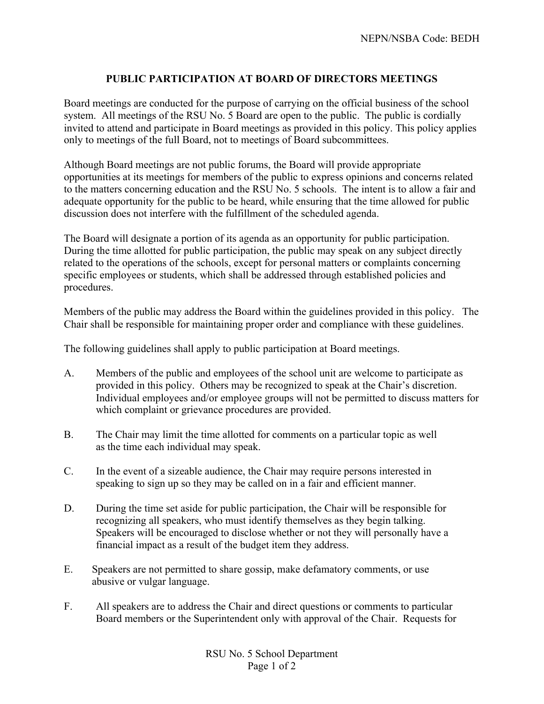## **PUBLIC PARTICIPATION AT BOARD OF DIRECTORS MEETINGS**

Board meetings are conducted for the purpose of carrying on the official business of the school system. All meetings of the RSU No. 5 Board are open to the public. The public is cordially invited to attend and participate in Board meetings as provided in this policy. This policy applies only to meetings of the full Board, not to meetings of Board subcommittees.

Although Board meetings are not public forums, the Board will provide appropriate opportunities at its meetings for members of the public to express opinions and concerns related to the matters concerning education and the RSU No. 5 schools. The intent is to allow a fair and adequate opportunity for the public to be heard, while ensuring that the time allowed for public discussion does not interfere with the fulfillment of the scheduled agenda.

The Board will designate a portion of its agenda as an opportunity for public participation. During the time allotted for public participation, the public may speak on any subject directly related to the operations of the schools, except for personal matters or complaints concerning specific employees or students, which shall be addressed through established policies and procedures.

Members of the public may address the Board within the guidelines provided in this policy. The Chair shall be responsible for maintaining proper order and compliance with these guidelines.

The following guidelines shall apply to public participation at Board meetings.

- A. Members of the public and employees of the school unit are welcome to participate as provided in this policy. Others may be recognized to speak at the Chair's discretion. Individual employees and/or employee groups will not be permitted to discuss matters for which complaint or grievance procedures are provided.
- B. The Chair may limit the time allotted for comments on a particular topic as well as the time each individual may speak.
- C. In the event of a sizeable audience, the Chair may require persons interested in speaking to sign up so they may be called on in a fair and efficient manner.
- D. During the time set aside for public participation, the Chair will be responsible for recognizing all speakers, who must identify themselves as they begin talking. Speakers will be encouraged to disclose whether or not they will personally have a financial impact as a result of the budget item they address.
- E. Speakers are not permitted to share gossip, make defamatory comments, or use abusive or vulgar language.
- F. All speakers are to address the Chair and direct questions or comments to particular Board members or the Superintendent only with approval of the Chair. Requests for

RSU No. 5 School Department Page 1 of 2